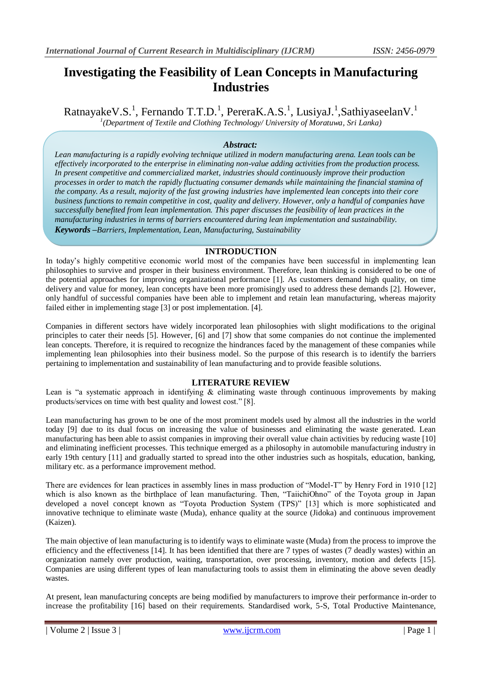# **Investigating the Feasibility of Lean Concepts in Manufacturing Industries**

RatnayakeV.S.<sup>1</sup>, Fernando T.T.D.<sup>1</sup>, PereraK.A.S.<sup>1</sup>, LusiyaJ.<sup>1</sup>,SathiyaseelanV.<sup>1</sup> *1 (Department of Textile and Clothing Technology/ University of Moratuwa, Sri Lanka)* 

# *Abstract:*

*Lean manufacturing is a rapidly evolving technique utilized in modern manufacturing arena. Lean tools can be effectively incorporated to the enterprise in eliminating non-value adding activities from the production process. In present competitive and commercialized market, industries should continuously improve their production processes in order to match the rapidly fluctuating consumer demands while maintaining the financial stamina of the company. As a result, majority of the fast growing industries have implemented lean concepts into their core business functions to remain competitive in cost, quality and delivery. However, only a handful of companies have successfully benefited from lean implementation. This paper discusses the feasibility of lean practices in the manufacturing industries in terms of barriers encountered during lean implementation and sustainability. Keywords –Barriers, Implementation, Lean, Manufacturing, Sustainability*

## **INTRODUCTION**

In today's highly competitive economic world most of the companies have been successful in implementing lean philosophies to survive and prosper in their business environment. Therefore, lean thinking is considered to be one of the potential approaches for improving organizational performance [1]. As customers demand high quality, on time delivery and value for money, lean concepts have been more promisingly used to address these demands [2]. However, only handful of successful companies have been able to implement and retain lean manufacturing, whereas majority failed either in implementing stage [3] or post implementation. [4].

Companies in different sectors have widely incorporated lean philosophies with slight modifications to the original principles to cater their needs [5]. However, [6] and [7] show that some companies do not continue the implemented lean concepts. Therefore, it is required to recognize the hindrances faced by the management of these companies while implementing lean philosophies into their business model. So the purpose of this research is to identify the barriers pertaining to implementation and sustainability of lean manufacturing and to provide feasible solutions.

# **LITERATURE REVIEW**

Lean is "a systematic approach in identifying & eliminating waste through continuous improvements by making products/services on time with best quality and lowest cost." [8].

Lean manufacturing has grown to be one of the most prominent models used by almost all the industries in the world today [9] due to its dual focus on increasing the value of businesses and eliminating the waste generated. Lean manufacturing has been able to assist companies in improving their overall value chain activities by reducing waste [10] and eliminating inefficient processes. This technique emerged as a philosophy in automobile manufacturing industry in early 19th century [11] and gradually started to spread into the other industries such as hospitals, education, banking, military etc. as a performance improvement method.

There are evidences for lean practices in assembly lines in mass production of "Model-T" by Henry Ford in 1910 [12] which is also known as the birthplace of lean manufacturing. Then, "TaiichiOhno" of the Toyota group in Japan developed a novel concept known as "Toyota Production System (TPS)" [13] which is more sophisticated and innovative technique to eliminate waste (Muda), enhance quality at the source (Jidoka) and continuous improvement (Kaizen).

The main objective of lean manufacturing is to identify ways to eliminate waste (Muda) from the process to improve the efficiency and the effectiveness [14]. It has been identified that there are 7 types of wastes (7 deadly wastes) within an organization namely over production, waiting, transportation, over processing, inventory, motion and defects [15]. Companies are using different types of lean manufacturing tools to assist them in eliminating the above seven deadly wastes.

At present, lean manufacturing concepts are being modified by manufacturers to improve their performance in-order to increase the profitability [16] based on their requirements. Standardised work, 5-S, Total Productive Maintenance,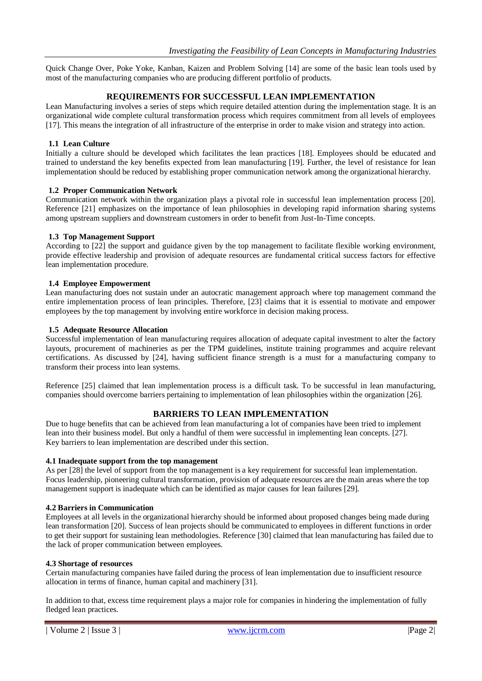Quick Change Over, Poke Yoke, Kanban, Kaizen and Problem Solving [14] are some of the basic lean tools used by most of the manufacturing companies who are producing different portfolio of products.

## **REQUIREMENTS FOR SUCCESSFUL LEAN IMPLEMENTATION**

Lean Manufacturing involves a series of steps which require detailed attention during the implementation stage. It is an organizational wide complete cultural transformation process which requires commitment from all levels of employees [17]. This means the integration of all infrastructure of the enterprise in order to make vision and strategy into action.

### **1.1 Lean Culture**

Initially a culture should be developed which facilitates the lean practices [18]. Employees should be educated and trained to understand the key benefits expected from lean manufacturing [19]. Further, the level of resistance for lean implementation should be reduced by establishing proper communication network among the organizational hierarchy.

#### **1.2 Proper Communication Network**

Communication network within the organization plays a pivotal role in successful lean implementation process [20]. Reference [21] emphasizes on the importance of lean philosophies in developing rapid information sharing systems among upstream suppliers and downstream customers in order to benefit from Just-In-Time concepts.

#### **1.3 Top Management Support**

According to [22] the support and guidance given by the top management to facilitate flexible working environment, provide effective leadership and provision of adequate resources are fundamental critical success factors for effective lean implementation procedure.

#### **1.4 Employee Empowerment**

Lean manufacturing does not sustain under an autocratic management approach where top management command the entire implementation process of lean principles. Therefore, [23] claims that it is essential to motivate and empower employees by the top management by involving entire workforce in decision making process.

#### **1.5 Adequate Resource Allocation**

Successful implementation of lean manufacturing requires allocation of adequate capital investment to alter the factory layouts, procurement of machineries as per the TPM guidelines, institute training programmes and acquire relevant certifications. As discussed by [24], having sufficient finance strength is a must for a manufacturing company to transform their process into lean systems.

Reference [25] claimed that lean implementation process is a difficult task. To be successful in lean manufacturing, companies should overcome barriers pertaining to implementation of lean philosophies within the organization [26].

## **BARRIERS TO LEAN IMPLEMENTATION**

Due to huge benefits that can be achieved from lean manufacturing a lot of companies have been tried to implement lean into their business model. But only a handful of them were successful in implementing lean concepts. [27]. Key barriers to lean implementation are described under this section.

#### **4.1 Inadequate support from the top management**

As per [28] the level of support from the top management is a key requirement for successful lean implementation. Focus leadership, pioneering cultural transformation, provision of adequate resources are the main areas where the top management support is inadequate which can be identified as major causes for lean failures [29].

### **4.2 Barriers in Communication**

Employees at all levels in the organizational hierarchy should be informed about proposed changes being made during lean transformation [20]. Success of lean projects should be communicated to employees in different functions in order to get their support for sustaining lean methodologies. Reference [30] claimed that lean manufacturing has failed due to the lack of proper communication between employees.

## **4.3 Shortage of resources**

Certain manufacturing companies have failed during the process of lean implementation due to insufficient resource allocation in terms of finance, human capital and machinery [31].

In addition to that, excess time requirement plays a major role for companies in hindering the implementation of fully fledged lean practices.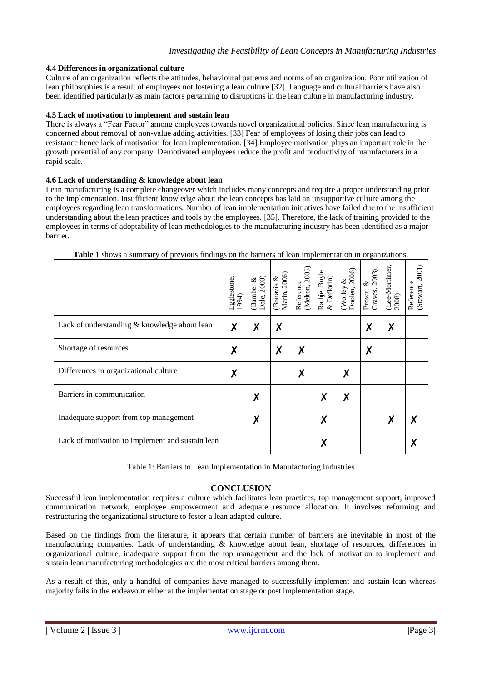## **4.4 Differences in organizational culture**

Culture of an organization reflects the attitudes, behavioural patterns and norms of an organization. Poor utilization of lean philosophies is a result of employees not fostering a lean culture [32]. Language and cultural barriers have also been identified particularly as main factors pertaining to disruptions in the lean culture in manufacturing industry.

## **4.5 Lack of motivation to implement and sustain lean**

There is always a "Fear Factor" among employees towards novel organizational policies. Since lean manufacturing is concerned about removal of non-value adding activities. [33] Fear of employees of losing their jobs can lead to resistance hence lack of motivation for lean implementation. [34].Employee motivation plays an important role in the growth potential of any company. Demotivated employees reduce the profit and productivity of manufacturers in a rapid scale.

## **4.6 Lack of understanding & knowledge about lean**

Lean manufacturing is a complete changeover which includes many concepts and require a proper understanding prior to the implementation. Insufficient knowledge about the lean concepts has laid an unsupportive culture among the employees regarding lean transformations. Number of lean implementation initiatives have failed due to the insufficient understanding about the lean practices and tools by the employees. [35]. Therefore, the lack of training provided to the employees in terms of adoptability of lean methodologies to the manufacturing industry has been identified as a major barrier.

|                                                  | Egglestone,<br>1994) | Dale, 2000)<br>ళ<br><b>Banber</b> | Marin, 2006)<br>Bonavia & | (Melton, 2005)<br>Reference | Rathje, Boyle<br>& Deflorin) | 2006)<br>ళ<br>(Worley<br>Doolen, | Brown, &<br>Graves, 2003)<br>Graves, | (Lee-Mortimer,<br>2008) | 2001)<br>Reference<br>(Stewart, 2 |
|--------------------------------------------------|----------------------|-----------------------------------|---------------------------|-----------------------------|------------------------------|----------------------------------|--------------------------------------|-------------------------|-----------------------------------|
| Lack of understanding & knowledge about lean     | X                    | X                                 | Χ                         |                             |                              |                                  | X                                    | X                       |                                   |
| Shortage of resources                            | X                    |                                   | X                         | Χ                           |                              |                                  | X                                    |                         |                                   |
| Differences in organizational culture            | X                    |                                   |                           | Χ                           |                              | Χ                                |                                      |                         |                                   |
| Barriers in communication                        |                      | X                                 |                           |                             | X                            | Χ                                |                                      |                         |                                   |
| Inadequate support from top management           |                      | X                                 |                           |                             | X                            |                                  |                                      | Χ                       |                                   |
| Lack of motivation to implement and sustain lean |                      |                                   |                           |                             | X                            |                                  |                                      |                         |                                   |

**Table 1** shows a summary of previous findings on the barriers of lean implementation in organizations.

Table 1: Barriers to Lean Implementation in Manufacturing Industries

## **CONCLUSION**

Successful lean implementation requires a culture which facilitates lean practices, top management support, improved communication network, employee empowerment and adequate resource allocation. It involves reforming and restructuring the organizational structure to foster a lean adapted culture.

Based on the findings from the literature, it appears that certain number of barriers are inevitable in most of the manufacturing companies. Lack of understanding & knowledge about lean, shortage of resources, differences in organizational culture, inadequate support from the top management and the lack of motivation to implement and sustain lean manufacturing methodologies are the most critical barriers among them.

As a result of this, only a handful of companies have managed to successfully implement and sustain lean whereas majority fails in the endeavour either at the implementation stage or post implementation stage.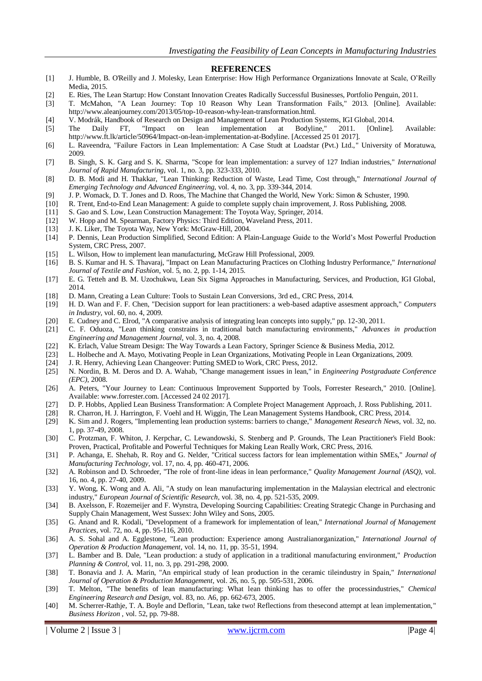#### **REFERENCES**

- [1] J. Humble, B. O'Reilly and J. Molesky, Lean Enterprise: How High Performance Organizations Innovate at Scale, O'Reilly Media, 2015.
- [2] E. Ries, The Lean Startup: How Constant Innovation Creates Radically Successful Businesses, Portfolio Penguin, 2011.
- [3] T. McMahon, "A Lean Journey: Top 10 Reason Why Lean Transformation Fails," 2013. [Online]. Available: http://www.aleanjourney.com/2013/05/top-10-reason-why-lean-transformation.html.
- [4] V. Modrák, Handbook of Research on Design and Management of Lean Production Systems, IGI Global, 2014.
- [5] The Daily FT, "Impact on lean implementation at Bodyline," 2011. [Online]. Available: http://www.ft.lk/article/50964/Impact-on-lean-implementation-at-Bodyline. [Accessed 25 01 2017].
- [6] L. Raveendra, "Failure Factors in Lean Implementation: A Case Studt at Loadstar (Pvt.) Ltd.," University of Moratuwa, 2009.
- [7] B. Singh, S. K. Garg and S. K. Sharma, "Scope for lean implementation: a survey of 127 Indian industries," *International Journal of Rapid Manufacturing,* vol. 1, no. 3, pp. 323-333, 2010.
- [8] D. B. Modi and H. Thakkar, "Lean Thinking: Reduction of Waste, Lead Time, Cost through," *International Journal of Emerging Technology and Advanced Engineering,* vol. 4, no. 3, pp. 339-344, 2014.
- [9] J. P. Womack, D. T. Jones and D. Roos, The Machine that Changed the World, New York: Simon & Schuster, 1990.
- [10] R. Trent, End-to-End Lean Management: A guide to complete supply chain improvement, J. Ross Publishing, 2008.
- [11] S. Gao and S. Low, Lean Construction Management: The Toyota Way, Springer, 2014.
- [12] W. Hopp and M. Spearman, Factory Physics: Third Edition, Waveland Press, 2011.
- [13] J. K. Liker, The Toyota Way, New York: McGraw-Hill, 2004.
- [14] P. Dennis, Lean Production Simplified, Second Edition: A Plain-Language Guide to the World's Most Powerful Production System, CRC Press, 2007.
- [15] L. Wilson, How to implement lean manufacturing, McGraw Hill Professional, 2009.
- [16] B. S. Kumar and H. S. Thavaraj, "Impact on Lean Manufacturing Practices on Clothing Industry Performance," *International Journal of Textile and Fashion,* vol. 5, no. 2, pp. 1-14, 2015.
- [17] E. G. Tetteh and B. M. Uzochukwu, Lean Six Sigma Approaches in Manufacturing, Services, and Production, IGI Global, 2014.
- [18] D. Mann, Creating a Lean Culture: Tools to Sustain Lean Conversions, 3rd ed., CRC Press, 2014.
- [19] H. D. Wan and F. F. Chen, "Decision support for lean practitioners: a web-based adaptive assesment approach," *Computers in Industry,* vol. 60, no. 4, 2009.
- [20] E. Cudney and C. Elrod, "A comparative analysis of integrating lean concepts into supply," pp. 12-30, 2011.
- [21] C. F. Oduoza, "Lean thinking constrains in traditional batch manufacturing environments," *Advances in production Engineering and Management Journal,* vol. 3, no. 4, 2008.
- [22] K. Erlach, Value Stream Design: The Way Towards a Lean Factory, Springer Science & Business Media, 2012.
- [23] L. Holbeche and A. Mayo, Motivating People in Lean Organizations, Motivating People in Lean Organizations, 2009.
- [24] J. R. Henry, Achieving Lean Changeover: Putting SMED to Work, CRC Press, 2012.<br>[25] N. Nordin, B. M. Deros and D. A. Wahab, "Change management issues in lean," in
- [25] N. Nordin, B. M. Deros and D. A. Wahab, "Change management issues in lean," in *Engineering Postgraduate Conference (EPC)*, 2008.
- [26] A. Peters, "Your Journey to Lean: Continuous Improvement Supported by Tools, Forrester Research," 2010. [Online]. Available: www.forrester.com. [Accessed 24 02 2017].
- [27] D. P. Hobbs, Applied Lean Business Transformation: A Complete Project Management Approach, J. Ross Publishing, 2011.
- [28] R. Charron, H. J. Harrington, F. Voehl and H. Wiggin, The Lean Management Systems Handbook, CRC Press, 2014.
- [29] K. Sim and J. Rogers, "Implementing lean production systems: barriers to change," *Management Research News,* vol. 32, no. 1, pp. 37-49, 2008.
- [30] C. Protzman, F. Whiton, J. Kerpchar, C. Lewandowski, S. Stenberg and P. Grounds, The Lean Practitioner's Field Book: Proven, Practical, Profitable and Powerful Techniques for Making Lean Really Work, CRC Press, 2016.
- [31] P. Achanga, E. Shehab, R. Roy and G. Nelder, "Critical success factors for lean implementation within SMEs," *Journal of Manufacturing Technology,* vol. 17, no. 4, pp. 460-471, 2006.
- [32] A. Robinson and D. Schroeder, "The role of front-line ideas in lean performance," *Quality Management Journal (ASQ),* vol. 16, no. 4, pp. 27-40, 2009.
- [33] Y. Wong, K. Wong and A. Ali, "A study on lean manufacturing implementation in the Malaysian electrical and electronic industry," *European Journal of Scientific Research,* vol. 38, no. 4, pp. 521-535, 2009.
- [34] B. Axelsson, F. Rozemeijer and F. Wynstra, Developing Sourcing Capabilities: Creating Strategic Change in Purchasing and Supply Chain Management, West Sussex: John Wiley and Sons, 2005.
- [35] G. Anand and R. Kodali, "Development of a framework for implementation of lean," *International Journal of Management Practices,* vol. 72, no. 4, pp. 95-116, 2010.
- [36] A. S. Sohal and A. Egglestone, "Lean production: Experience among Australianorganization," *International Journal of Operation & Production Management,* vol. 14, no. 11, pp. 35-51, 1994.
- [37] L. Bamber and B. Dale, "Lean production: a study of application in a traditional manufacturing environment," *Production Planning & Control,* vol. 11, no. 3, pp. 291-298, 2000.
- [38] T. Bonavia and J. A. Marin, "An empirical study of lean production in the ceramic tileindustry in Spain," *International Journal of Operation & Production Management,* vol. 26, no. 5, pp. 505-531, 2006.
- [39] T. Melton, "The benefits of lean manufacturing: What lean thinking has to offer the processindustries," *Chemical Engineering Research and Design,* vol. 83, no. A6, pp. 662-673, 2005.
- [40] M. Scherrer-Rathje, T. A. Boyle and Deflorin, "Lean, take two! Reflections from thesecond attempt at lean implementation, " *Business Horizon ,* vol. 52, pp. 79-88.